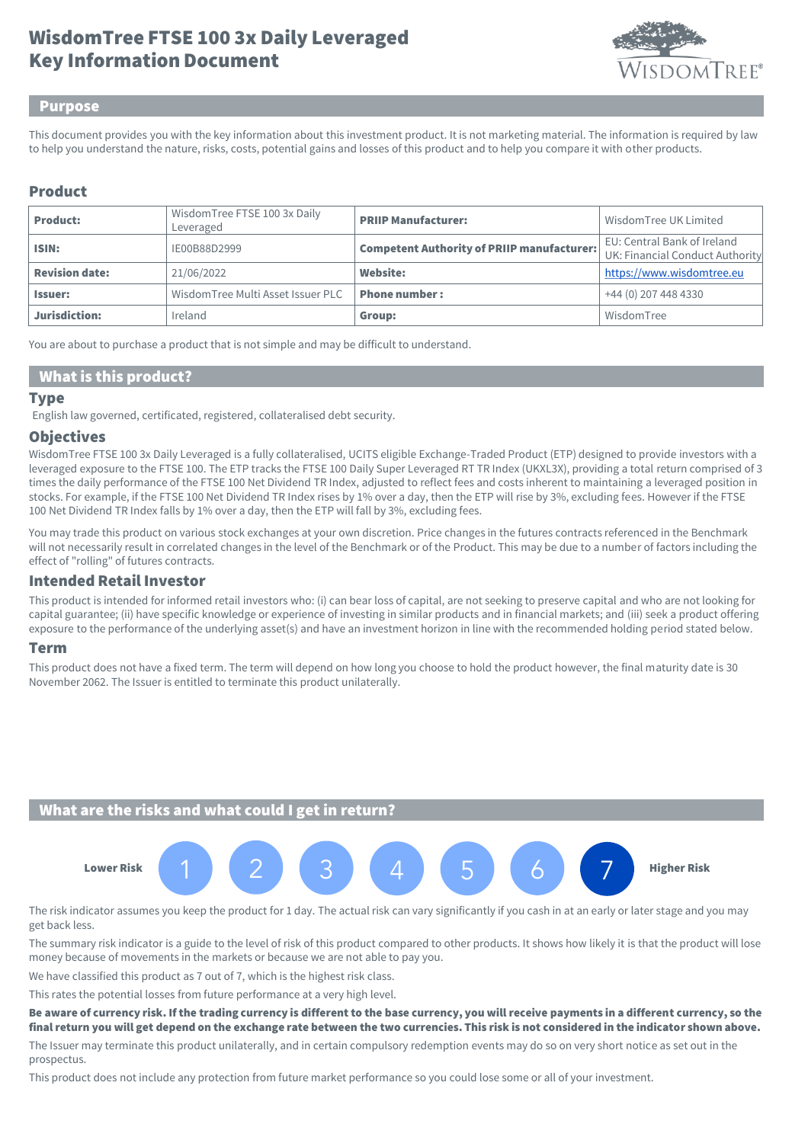# Key Information Document WisdomTree FTSE 100 3x Daily Leveraged



#### Purpose

This document provides you with the key information about this investment product. It is not marketing material. The information is required by law to help you understand the nature, risks, costs, potential gains and losses of this product and to help you compare it with other products.

## Product

| <b>Product:</b>       | WisdomTree FTSE 100 3x Daily<br>Leveraged | <b>PRIIP Manufacturer:</b>                        | Wisdom Tree UK Limited                                         |
|-----------------------|-------------------------------------------|---------------------------------------------------|----------------------------------------------------------------|
| ISIN:                 | IE00B88D2999                              | <b>Competent Authority of PRIIP manufacturer:</b> | EU: Central Bank of Ireland<br>UK: Financial Conduct Authority |
| <b>Revision date:</b> | 21/06/2022                                | Website:                                          | https://www.wisdomtree.eu                                      |
| <b>Issuer:</b>        | WisdomTree Multi Asset Issuer PLC         | <b>Phone number:</b>                              | +44 (0) 207 448 4330                                           |
| Jurisdiction:         | Ireland                                   | Group:                                            | WisdomTree                                                     |

You are about to purchase a product that is not simple and may be difficult to understand.

## What is this product?

#### **Type**

English law governed, certificated, registered, collateralised debt security.

#### **Objectives**

WisdomTree FTSE 100 3x Daily Leveraged is a fully collateralised, UCITS eligible Exchange-Traded Product (ETP) designed to provide investors with a leveraged exposure to the FTSE 100. The ETP tracks the FTSE 100 Daily Super Leveraged RT TR Index (UKXL3X), providing a total return comprised of 3 times the daily performance of the FTSE 100 Net Dividend TR Index, adjusted to reflect fees and costs inherent to maintaining a leveraged position in stocks. For example, if the FTSE 100 Net Dividend TR Index rises by 1% over a day, then the ETP will rise by 3%, excluding fees. However if the FTSE 100 Net Dividend TR Index falls by 1% over a day, then the ETP will fall by 3%, excluding fees.

You may trade this product on various stock exchanges at your own discretion. Price changes in the futures contracts referenced in the Benchmark will not necessarily result in correlated changes in the level of the Benchmark or of the Product. This may be due to a number of factors including the effect of "rolling" of futures contracts.

### Intended Retail Investor

This product is intended for informed retail investors who: (i) can bear loss of capital, are not seeking to preserve capital and who are not looking for capital guarantee; (ii) have specific knowledge or experience of investing in similar products and in financial markets; and (iii) seek a product offering exposure to the performance of the underlying asset(s) and have an investment horizon in line with the recommended holding period stated below.

#### Term

This product does not have a fixed term. The term will depend on how long you choose to hold the product however, the final maturity date is 30 November 2062. The Issuer is entitled to terminate this product unilaterally.

## What are the risks and what could I get in return?



The risk indicator assumes you keep the product for 1 day. The actual risk can vary significantly if you cash in at an early or later stage and you may get back less.

The summary risk indicator is a guide to the level of risk of this product compared to other products. It shows how likely it is that the product will lose money because of movements in the markets or because we are not able to pay you.

We have classified this product as 7 out of 7, which is the highest risk class.

This rates the potential losses from future performance at a very high level.

Be aware of currency risk. If the trading currency is different to the base currency, you will receive payments in a different currency, so the final return you will get depend on the exchange rate between the two currencies. This risk is not considered in the indicator shown above.

The Issuer may terminate this product unilaterally, and in certain compulsory redemption events may do so on very short notice as set out in the prospectus.

This product does not include any protection from future market performance so you could lose some or all of your investment.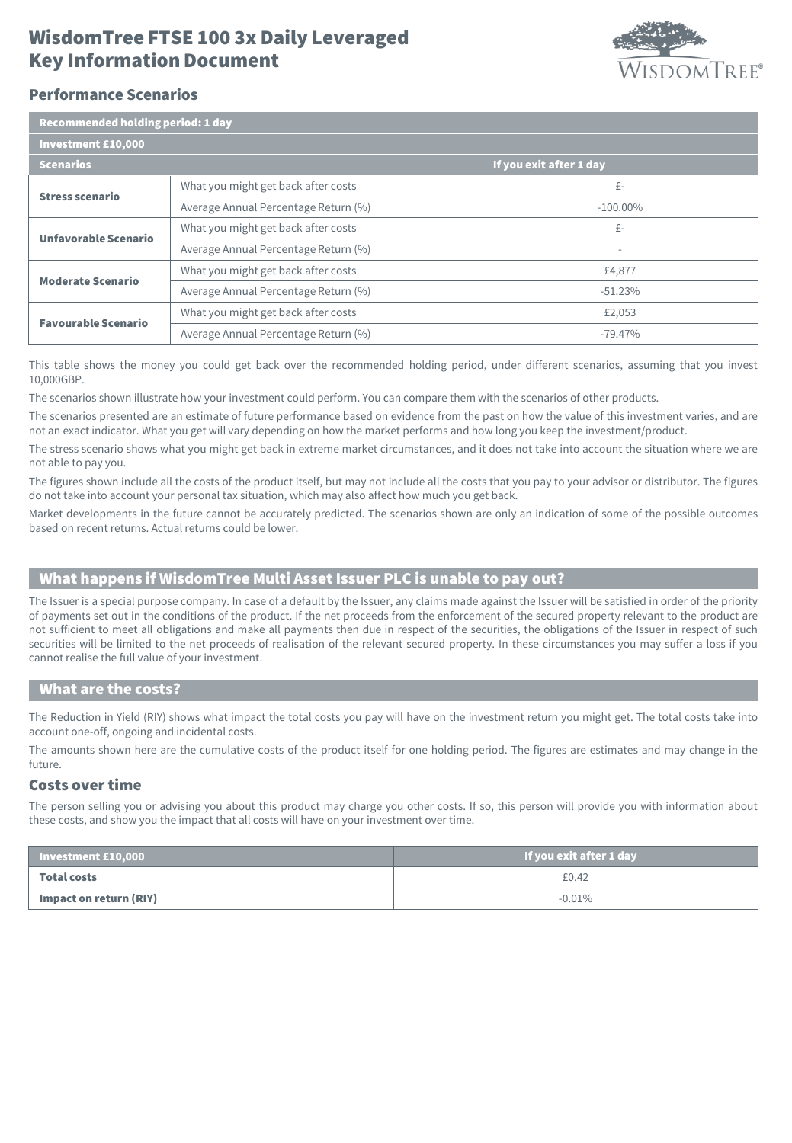# Key Information Document WisdomTree FTSE 100 3x Daily Leveraged



# Performance Scenarios

| <b>Recommended holding period: 1 day</b> |                                      |                          |  |  |
|------------------------------------------|--------------------------------------|--------------------------|--|--|
| <b>Investment £10,000</b>                |                                      |                          |  |  |
| <b>Scenarios</b>                         |                                      | If you exit after 1 day  |  |  |
| <b>Stress scenario</b>                   | What you might get back after costs  | £-                       |  |  |
|                                          | Average Annual Percentage Return (%) | $-100.00\%$              |  |  |
| <b>Unfavorable Scenario</b>              | What you might get back after costs  | £-                       |  |  |
|                                          | Average Annual Percentage Return (%) | $\overline{\phantom{a}}$ |  |  |
| <b>Moderate Scenario</b>                 | What you might get back after costs  | £4,877                   |  |  |
|                                          | Average Annual Percentage Return (%) | $-51.23%$                |  |  |
| <b>Favourable Scenario</b>               | What you might get back after costs  | £2,053                   |  |  |
|                                          | Average Annual Percentage Return (%) | $-79.47%$                |  |  |

This table shows the money you could get back over the recommended holding period, under different scenarios, assuming that you invest 10,000GBP.

The scenarios shown illustrate how your investment could perform. You can compare them with the scenarios of other products.

The scenarios presented are an estimate of future performance based on evidence from the past on how the value of this investment varies, and are not an exact indicator. What you get will vary depending on how the market performs and how long you keep the investment/product.

The stress scenario shows what you might get back in extreme market circumstances, and it does not take into account the situation where we are not able to pay you.

The figures shown include all the costs of the product itself, but may not include all the costs that you pay to your advisor or distributor. The figures do not take into account your personal tax situation, which may also affect how much you get back.

Market developments in the future cannot be accurately predicted. The scenarios shown are only an indication of some of the possible outcomes based on recent returns. Actual returns could be lower.

# What happens if WisdomTree Multi Asset Issuer PLC is unable to pay out?

The Issuer is a special purpose company. In case of a default by the Issuer, any claims made against the Issuer will be satisfied in order of the priority of payments set out in the conditions of the product. If the net proceeds from the enforcement of the secured property relevant to the product are not sufficient to meet all obligations and make all payments then due in respect of the securities, the obligations of the Issuer in respect of such securities will be limited to the net proceeds of realisation of the relevant secured property. In these circumstances you may suffer a loss if you cannot realise the full value of your investment.

#### What are the costs?

The Reduction in Yield (RIY) shows what impact the total costs you pay will have on the investment return you might get. The total costs take into account one-off, ongoing and incidental costs.

The amounts shown here are the cumulative costs of the product itself for one holding period. The figures are estimates and may change in the future.

## Costs over time

The person selling you or advising you about this product may charge you other costs. If so, this person will provide you with information about these costs, and show you the impact that all costs will have on your investment over time.

| $\blacksquare$ Investment £10,000 | If you exit after 1 day |
|-----------------------------------|-------------------------|
| Total costs                       | £0.42                   |
| Impact on return (RIY)            | $-0.01\%$               |